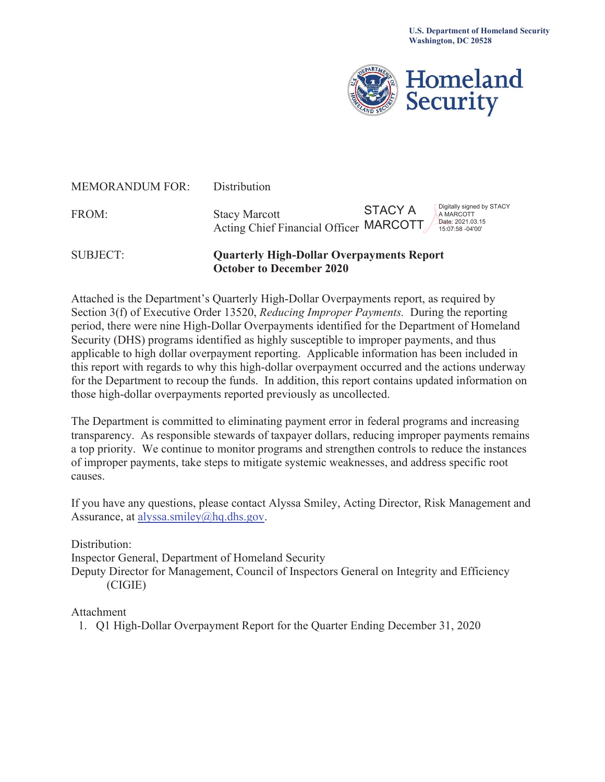

| SUBJECT:               | <b>Quarterly High-Dollar Overpayments Report</b><br><b>October to December 2020</b> |                                                                                                  |  |  |  |  |  |  |  |
|------------------------|-------------------------------------------------------------------------------------|--------------------------------------------------------------------------------------------------|--|--|--|--|--|--|--|
| FROM:                  | <b>Stacy Marcott</b><br>Acting Chief Financial Officer MARCOTT                      | Digitally signed by STACY<br><b>STACY A</b><br>A MARCOTT<br>Date: 2021.03.15<br>15:07:58 -04'00' |  |  |  |  |  |  |  |
| <b>MEMORANDUM FOR:</b> | Distribution                                                                        |                                                                                                  |  |  |  |  |  |  |  |

Attached is the Department's Quarterly High-Dollar Overpayments report, as required by Section 3(f) of Executive Order 13520, *Reducing Improper Payments.* During the reporting period, there were nine High-Dollar Overpayments identified for the Department of Homeland Security (DHS) programs identified as highly susceptible to improper payments, and thus applicable to high dollar overpayment reporting. Applicable information has been included in this report with regards to why this high-dollar overpayment occurred and the actions underway for the Department to recoup the funds. In addition, this report contains updated information on those high-dollar overpayments reported previously as uncollected.

The Department is committed to eliminating payment error in federal programs and increasing transparency. As responsible stewards of taxpayer dollars, reducing improper payments remains a top priority. We continue to monitor programs and strengthen controls to reduce the instances of improper payments, take steps to mitigate systemic weaknesses, and address specific root causes.

If you have any questions, please contact Alyssa Smiley, Acting Director, Risk Management and Assurance, at [alyssa.smiley@hq.dhs.gov.](mailto:alyssa.smiley@hq.dhs.gov)

Distribution:

Inspector General, Department of Homeland Security

Deputy Director for Management, Council of Inspectors General on Integrity and Efficiency (CIGIE)

Attachment

1. Q1 High-Dollar Overpayment Report for the Quarter Ending December 31, 2020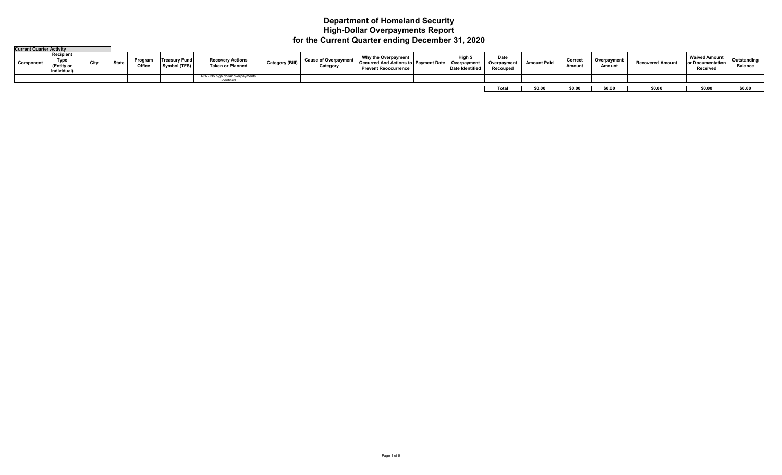#### **Department of Homeland Security High-Dollar Overpayments Report for the Current Quarter ending December 31, 2020**

| <b>Current Quarter Activity</b> |                                                |      |              |                   |                               |                                                    |                 |                              |                                                                                                   |                                        |                                 |                    |                   |                      |                 |                                                      |                               |
|---------------------------------|------------------------------------------------|------|--------------|-------------------|-------------------------------|----------------------------------------------------|-----------------|------------------------------|---------------------------------------------------------------------------------------------------|----------------------------------------|---------------------------------|--------------------|-------------------|----------------------|-----------------|------------------------------------------------------|-------------------------------|
| Component                       | Recipient<br>Type<br>(Entity or<br>Individual) | City | <b>State</b> | Program<br>Office | Treasury Func<br>Symbol (TFS) | <b>Recovery Actions</b><br><b>Taken or Planned</b> | Category (Bill) | Cause of Overpay<br>Category | Why the Overpayment<br><b>Occurred And Actions to Payment Date</b><br><b>Prevent Reoccurrence</b> | Hiah<br>Overpayment<br>Date Identified | Date<br>Overpayment<br>Recouped | <b>Amount Paid</b> | Correct<br>Amount | Overpayment<br>Amoun | Recovered Amoun | <b>Waived Amount</b><br>or Documentation<br>Receivea | Outstanding<br><b>Balance</b> |
|                                 |                                                |      |              |                   |                               | NI/A - No high dollar o<br>identified              |                 |                              |                                                                                                   |                                        |                                 |                    |                   |                      |                 |                                                      |                               |
|                                 |                                                |      |              |                   |                               |                                                    |                 |                              |                                                                                                   |                                        |                                 |                    |                   |                      |                 |                                                      |                               |
|                                 |                                                |      |              |                   |                               |                                                    |                 |                              |                                                                                                   |                                        | Total                           | \$0.00             | \$0.00            | \$0.00               | \$0.00          | \$0.00                                               | \$0.00                        |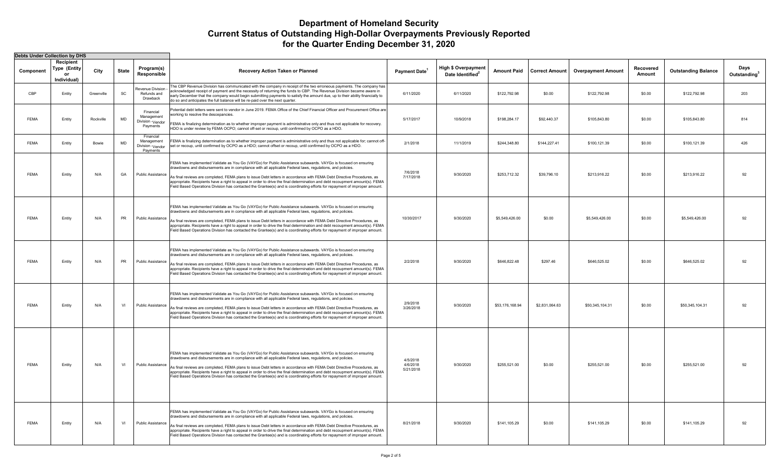|             | <b>Debts Under Collection by DHS</b>                  |            |           |                                                          |                                                                                                                                                                                                                                                                                                                                                                                                                                                                                                                                                                                                                     |                                   |                                                            |                    |                |                                            |                     |                            |                                  |
|-------------|-------------------------------------------------------|------------|-----------|----------------------------------------------------------|---------------------------------------------------------------------------------------------------------------------------------------------------------------------------------------------------------------------------------------------------------------------------------------------------------------------------------------------------------------------------------------------------------------------------------------------------------------------------------------------------------------------------------------------------------------------------------------------------------------------|-----------------------------------|------------------------------------------------------------|--------------------|----------------|--------------------------------------------|---------------------|----------------------------|----------------------------------|
| Component   | Recipient<br><b>Type (Entity</b><br>or<br>Individual) | City       | State     | Program(s)<br>Responsible                                | Recovery Action Taken or Planned                                                                                                                                                                                                                                                                                                                                                                                                                                                                                                                                                                                    | Payment Date <sup>1</sup>         | <b>High \$ Overpayment</b><br>Date Identified <sup>2</sup> | <b>Amount Paid</b> |                | <b>Correct Amount   Overpayment Amount</b> | Recovered<br>Amount | <b>Outstanding Balance</b> | Days<br>Outstanding <sup>3</sup> |
| CBP         | Entity                                                | Greenville | SC        | Revenue Division<br>Refunds and<br>Drawback              | The CBP Revenue Division has communicated with the company in receipt of the two erroneous payments. The company has<br>acknowledged receipt of payment and the necessity of returning the funds to CBP. The Revenue Division became aware in<br>early December that the company would begin submitting payments to satisfy the amount due, up to their ability financially to<br>do so and anticipates the full balance will be re-paid over the next quarter.                                                                                                                                                     | 6/11/2020                         | 6/11/2020                                                  | \$122,792.98       | \$0.00         | \$122,792.98                               | \$0.00              | \$122,792.98               | 203                              |
| <b>FEMA</b> | Entity                                                | Rockville  | MD        | Financial<br>Management<br>Division - Vendor<br>Payments | Potential debt letters were sent to vendor in June 2019. FEMA Office of the Chief Financial Officer and Procurement Office are<br>working to resolve the descepancies.<br>FEMA is finalizing determination as to whether improper payment is administrative only and thus not applicable for recovery.<br>HDO is under review by FEMA OCPO; cannot off-set or recoup, until confirmed by OCPO as a HDO.                                                                                                                                                                                                             | 5/17/2017                         | 10/9/2018                                                  | \$198,284.17       | \$92,440.37    | \$105,843.80                               | \$0.00              | \$105,843.80               | 814                              |
| <b>FEMA</b> | Entity                                                | Bowie      | MD        | Financial<br>Management<br>Division -Vendor<br>Payments  | FEMA is finalizing determination as to whether improper payment is administrative only and thus not applicable for; cannot off-<br>set or recoup, until confirmed by OCPO as a HDO; cannot offset or recoup, until confirmed by OCPO as a HDO.                                                                                                                                                                                                                                                                                                                                                                      | 2/1/2018                          | 11/1/2019                                                  | \$244,348.80       | \$144,227.41   | \$100,121.39                               | \$0.00              | \$100,121.39               | 426                              |
| <b>FEMA</b> | Entity                                                | N/A        | GA        | Public Assistance                                        | FEMA has implemented Validate as You Go (VAYGo) for Public Assistance subawards. VAYGo is focused on ensuring<br>drawdowns and disbursements are in compliance with all applicable Federal laws, regulations, and policies.<br>As final reviews are completed, FEMA plans to issue Debt letters in accordance with FEMA Debt Directive Procedures, as<br>appropriate. Recipients have a right to appeal in order to drive the final determination and debt recoupment amount(s). FEMA<br>Field Based Operations Division has contacted the Grantee(s) and is coordinating efforts for repayment of improper amount. | 7/6/2018<br>7/17/2018             | 9/30/2020                                                  | \$253,712.32       | \$39,796.10    | \$213,916.22                               | \$0.00              | \$213,916.22               | 92                               |
| <b>FEMA</b> | Entity                                                | N/A        | PR        | Public Assistance                                        | FEMA has implemented Validate as You Go (VAYGo) for Public Assistance subawards. VAYGo is focused on ensuring<br>drawdowns and disbursements are in compliance with all applicable Federal laws, regulations, and policies.<br>As final reviews are completed, FEMA plans to issue Debt letters in accordance with FEMA Debt Directive Procedures, as<br>appropriate. Recipients have a right to appeal in order to drive the final determination and debt recoupment amount(s). FEMA<br>Field Based Operations Division has contacted the Grantee(s) and is coordinating efforts for repayment of improper amount. | 10/30/2017                        | 9/30/2020                                                  | \$5,549,426.00     | \$0.00         | \$5,549,426.00                             | \$0.00              | \$5,549,426.00             | 92                               |
| <b>FEMA</b> | <b>Entity</b>                                         | N/A        | <b>PR</b> | Public Assistance                                        | FEMA has implemented Validate as You Go (VAYGo) for Public Assistance subawards. VAYGo is focused on ensuring<br>drawdowns and disbursements are in compliance with all applicable Federal laws, regulations, and policies.<br>As final reviews are completed, FEMA plans to issue Debt letters in accordance with FEMA Debt Directive Procedures, as<br>appropriate. Recipients have a right to appeal in order to drive the final determination and debt recoupment amount(s). FEMA<br>Field Based Operations Division has contacted the Grantee(s) and is coordinating efforts for repayment of improper amount. | 2/2/2018                          | 9/30/2020                                                  | \$646,822.48       | \$297.46       | \$646,525.02                               | \$0.00              | \$646,525.02               | 92                               |
| <b>FEMA</b> | Entity                                                | N/A        | VI        | Public Assistance                                        | FEMA has implemented Validate as You Go (VAYGo) for Public Assistance subawards. VAYGo is focused on ensuring<br>drawdowns and disbursements are in compliance with all applicable Federal laws, regulations, and policies.<br>As final reviews are completed, FEMA plans to issue Debt letters in accordance with FEMA Debt Directive Procedures, as<br>appropriate. Recipients have a right to appeal in order to drive the final determination and debt recoupment amount(s). FEMA<br>Field Based Operations Division has contacted the Grantee(s) and is coordinating efforts for repayment of improper amount. | 2/9/2018<br>3/26/2018             | 9/30/2020                                                  | \$53,176,168.94    | \$2,831,064.63 | \$50,345,104.31                            | \$0.00              | \$50,345,104.31            | 92                               |
| <b>FEMA</b> | Entity                                                | N/A        | VI        | Public Assistance                                        | FEMA has implemented Validate as You Go (VAYGo) for Public Assistance subawards. VAYGo is focused on ensuring<br>drawdowns and disbursements are in compliance with all applicable Federal laws, regulations, and policies.<br>As final reviews are completed, FEMA plans to issue Debt letters in accordance with FEMA Debt Directive Procedures, as<br>appropriate. Recipients have a right to appeal in order to drive the final determination and debt recoupment amount(s). FEMA<br>Field Based Operations Division has contacted the Grantee(s) and is coordinating efforts for repayment of improper amount. | 4/5/2018<br>4/6/2018<br>5/21/2018 | 9/30/2020                                                  | \$255,521.00       | \$0.00         | \$255,521.00                               | \$0.00              | \$255,521.00               | 92                               |
| <b>FEMA</b> | Entity                                                | N/A        | VI        | Public Assistance                                        | FEMA has implemented Validate as You Go (VAYGo) for Public Assistance subawards. VAYGo is focused on ensuring<br>drawdowns and disbursements are in compliance with all applicable Federal laws, regulations, and policies.<br>As final reviews are completed, FEMA plans to issue Debt letters in accordance with FEMA Debt Directive Procedures, as<br>appropriate. Recipients have a right to appeal in order to drive the final determination and debt recoupment amount(s). FEMA<br>Field Based Operations Division has contacted the Grantee(s) and is coordinating efforts for repayment of improper amount. | 8/21/2018                         | 9/30/2020                                                  | \$141,105.29       | \$0.00         | \$141,105.29                               | \$0.00              | \$141,105.29               | 92                               |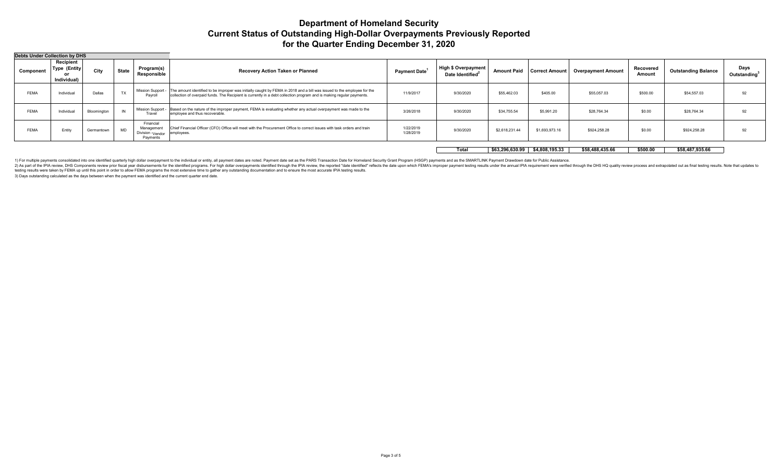| Debts Under Collection by DHS |                                                  |             |              |                                                                     |                                                                                                                                                                                                                                                                     |                           |                                                            |                    |                       |                           |                     |                            |                                  |
|-------------------------------|--------------------------------------------------|-------------|--------------|---------------------------------------------------------------------|---------------------------------------------------------------------------------------------------------------------------------------------------------------------------------------------------------------------------------------------------------------------|---------------------------|------------------------------------------------------------|--------------------|-----------------------|---------------------------|---------------------|----------------------------|----------------------------------|
| Component                     | Recipient<br><b>Type (Entity)</b><br>Individual) | City        | <b>State</b> | Program(s)<br>Responsible                                           | <b>Recovery Action Taken or Planned</b>                                                                                                                                                                                                                             | Payment Date <sup>1</sup> | <b>High \$ Overpayment</b><br>Date Identified <sup>2</sup> | <b>Amount Paid</b> | <b>Correct Amount</b> | <b>Overpayment Amount</b> | Recovered<br>Amount | <b>Outstanding Balance</b> | Days<br>Outstanding <sup>3</sup> |
| <b>FEMA</b>                   | Individual                                       | Dallas      | TX           | Payroll                                                             | Mission Support -  The amount identified to be improper was initially caught by FEMA in 2018 and a bill was issued to the employee for the<br>collection of overpaid funds. The Recipient is currently in a debt collection program and is making regular payments. | 11/9/2017                 | 9/30/2020                                                  | \$55,462.03        | \$405.00              | \$55,057.03               | \$500.00            | \$54,557.03                | 92                               |
| <b>FEMA</b>                   | Individual                                       | Bloomington |              | Trave                                                               | Mission Support - Based on the nature of the improper payment, FEMA is evaluating whether any actual overpayment was made to the<br>employee and thus recoverable.                                                                                                  | 3/26/2018                 | 9/30/2020                                                  | \$34,755.54        | \$5,991.20            | \$28,764.34               | \$0.00              | \$28,764.34                | 92                               |
| <b>FEMA</b>                   | Entity                                           | Germantown  | MD           | Financial<br>Management<br>Division - <sub>Vendor</sub><br>Payments | Chief Financial Officer (CFO) Office will meet with the Procurement Office to correct issues with task orders and train<br>employees.                                                                                                                               | 1/22/2019<br>1/28/2019    | 9/30/2020                                                  | \$2,618,231.44     | \$1,693,973.16        | \$924,258.28              | \$0.00              | \$924,258.28               | 92                               |

**Total \$63,296,630.99 \$4,808,195.33 \$58,488,435.66 \$500.00 \$58,487,935.66** 

1) For multiple payments consolidated into one identified quarterly high dollar overpayment to the individual or entity, all payment dates are noted. Payment dates are noted. Payment date set as the PARS Transaction Date f testing results were taken by FEMA up until this point in order to allow FEMA programs the most extensive time to gather any outstanding documentation and to ensure the most accurate IPIA testing results.

3) Days outstanding calculated as the days between when the payment was identified and the current quarter end date.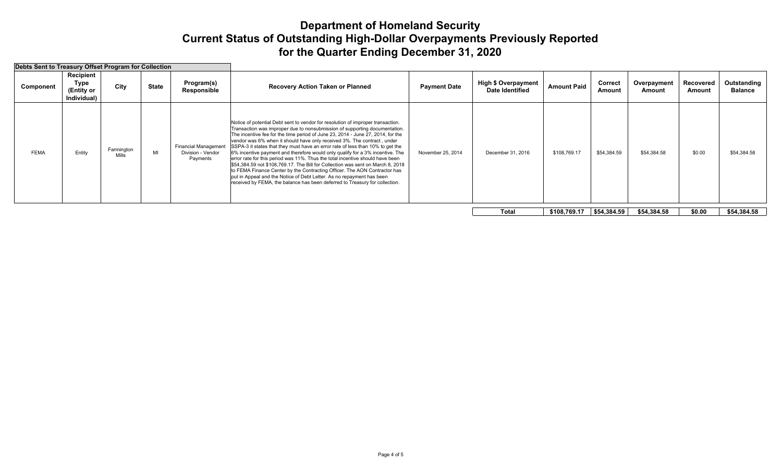| Debts Sent to Treasury Offset Program for Collection |             |                                                |                                                   |    |                                                              |                                                                                                                                                                                                                                                                                                                                                                                                                                                                                                                                                                                                                                                                                                                                                                                                                                                                                                         |                   |                                                      |                    |                   |                       |                     |                        |
|------------------------------------------------------|-------------|------------------------------------------------|---------------------------------------------------|----|--------------------------------------------------------------|---------------------------------------------------------------------------------------------------------------------------------------------------------------------------------------------------------------------------------------------------------------------------------------------------------------------------------------------------------------------------------------------------------------------------------------------------------------------------------------------------------------------------------------------------------------------------------------------------------------------------------------------------------------------------------------------------------------------------------------------------------------------------------------------------------------------------------------------------------------------------------------------------------|-------------------|------------------------------------------------------|--------------------|-------------------|-----------------------|---------------------|------------------------|
|                                                      | Component   | Recipient<br>Type<br>(Entity or<br>Individual) | Program(s)<br><b>State</b><br>City<br>Responsible |    |                                                              | <b>Payment Date</b><br>Recovery Action Taken or Planned                                                                                                                                                                                                                                                                                                                                                                                                                                                                                                                                                                                                                                                                                                                                                                                                                                                 |                   | <b>High \$ Overpayment</b><br><b>Date Identified</b> | <b>Amount Paid</b> | Correct<br>Amount | Overpayment<br>Amount | Recovered<br>Amount | Outstanding<br>Balance |
|                                                      | <b>FEMA</b> | Entity                                         | Farmington<br>Mills                               | MI | <b>Financial Management</b><br>Division - Vendor<br>Payments | Notice of potential Debt sent to vendor for resolution of improper transaction.<br>Transaction was improper due to nonsubmission of supporting documentation.<br>The incentive fee for the time period of June 23, 2014 - June 27, 2014, for the<br>vendor was 6% when it should have only received 3%. The contract, under<br>SSPA-3 it states that they must have an error rate of less than 10% to get the<br>6% incentive payment and therefore would only qualify for a 3% incentive. The<br>error rate for this period was 11%. Thus the total incentive should have been<br>\$54,384.59 not \$108,769.17. The Bill for Collection was sent on March 8, 2018<br>to FEMA Finance Center by the Contracting Officer. The AON Contractor has<br>put in Appeal and the Notice of Debt Letter. As no repayment has been<br>received by FEMA, the balance has been deferred to Treasury for collection. | November 25, 2014 | December 31, 2016                                    | \$108,769.17       | \$54,384.59       | \$54,384.58           | \$0.00              | \$54,384.58            |
|                                                      |             |                                                |                                                   |    |                                                              |                                                                                                                                                                                                                                                                                                                                                                                                                                                                                                                                                                                                                                                                                                                                                                                                                                                                                                         |                   | Total                                                | \$108,769.17       | \$54,384.59       | \$54,384.58           | \$0.00              | \$54,384.58            |